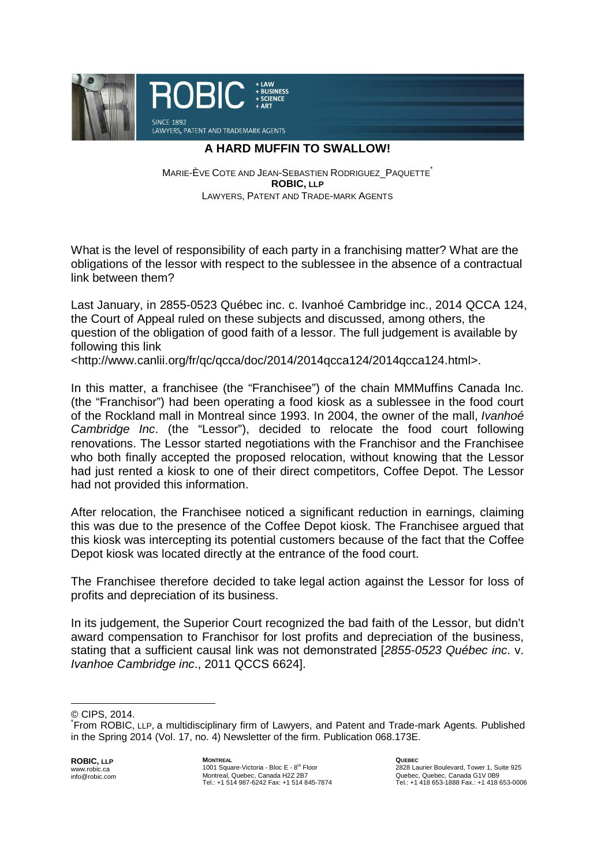

## **A HARD MUFFIN TO SWALLOW!**

MARIE-ÈVE COTE AND JEAN-SEBASTIEN RODRIGUEZ PAQUETTE **ROBIC, LLP** LAWYERS, PATENT AND TRADE-MARK AGENTS

What is the level of responsibility of each party in a franchising matter? What are the obligations of the lessor with respect to the sublessee in the absence of a contractual link between them?

Last January, in 2855-0523 Québec inc. c. Ivanhoé Cambridge inc., 2014 QCCA 124, the Court of Appeal ruled on these subjects and discussed, among others, the question of the obligation of good faith of a lessor. The full judgement is available by following this link

<http://www.canlii.org/fr/qc/qcca/doc/2014/2014qcca124/2014qcca124.html>.

In this matter, a franchisee (the "Franchisee") of the chain MMMuffins Canada Inc. (the "Franchisor") had been operating a food kiosk as a sublessee in the food court of the Rockland mall in Montreal since 1993. In 2004, the owner of the mall, Ivanhoé Cambridge Inc. (the "Lessor"), decided to relocate the food court following renovations. The Lessor started negotiations with the Franchisor and the Franchisee who both finally accepted the proposed relocation, without knowing that the Lessor had just rented a kiosk to one of their direct competitors, Coffee Depot. The Lessor had not provided this information.

After relocation, the Franchisee noticed a significant reduction in earnings, claiming this was due to the presence of the Coffee Depot kiosk. The Franchisee argued that this kiosk was intercepting its potential customers because of the fact that the Coffee Depot kiosk was located directly at the entrance of the food court.

The Franchisee therefore decided to take legal action against the Lessor for loss of profits and depreciation of its business.

In its judgement, the Superior Court recognized the bad faith of the Lessor, but didn't award compensation to Franchisor for lost profits and depreciation of the business, stating that a sufficient causal link was not demonstrated [2855-0523 Québec inc. v. Ivanhoe Cambridge inc., 2011 QCCS 6624].

 $\overline{a}$ 

**ROBIC, LLP** www.robic.ca info@robic.com

<sup>©</sup> CIPS, 2014.

<sup>\*</sup> From ROBIC, LLP, a multidisciplinary firm of Lawyers, and Patent and Trade-mark Agents. Published in the Spring 2014 (Vol. 17, no. 4) Newsletter of the firm. Publication 068.173E.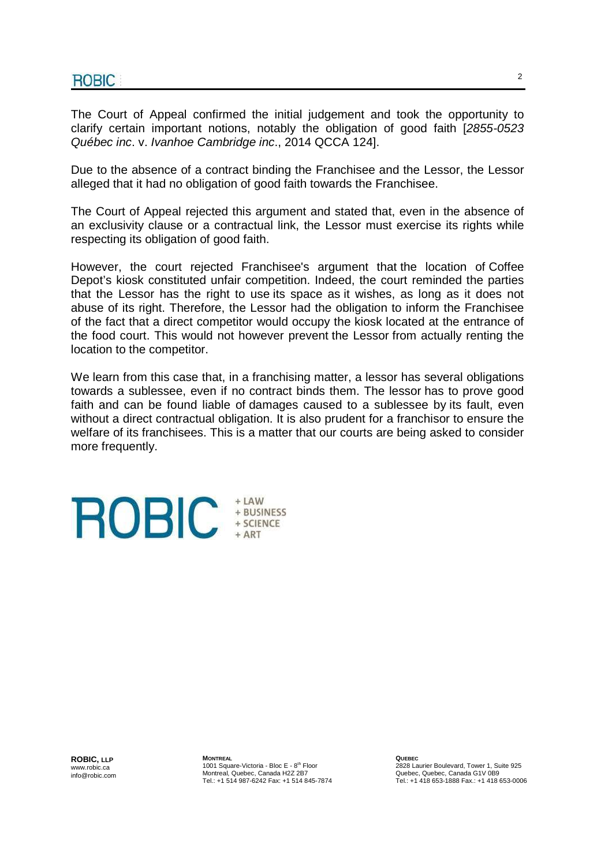The Court of Appeal confirmed the initial judgement and took the opportunity to clarify certain important notions, notably the obligation of good faith [2855-0523 Québec inc. v. Ivanhoe Cambridge inc., 2014 QCCA 124].

Due to the absence of a contract binding the Franchisee and the Lessor, the Lessor alleged that it had no obligation of good faith towards the Franchisee.

The Court of Appeal rejected this argument and stated that, even in the absence of an exclusivity clause or a contractual link, the Lessor must exercise its rights while respecting its obligation of good faith.

However, the court rejected Franchisee's argument that the location of Coffee Depot's kiosk constituted unfair competition. Indeed, the court reminded the parties that the Lessor has the right to use its space as it wishes, as long as it does not abuse of its right. Therefore, the Lessor had the obligation to inform the Franchisee of the fact that a direct competitor would occupy the kiosk located at the entrance of the food court. This would not however prevent the Lessor from actually renting the location to the competitor.

We learn from this case that, in a franchising matter, a lessor has several obligations towards a sublessee, even if no contract binds them. The lessor has to prove good faith and can be found liable of damages caused to a sublessee by its fault, even without a direct contractual obligation. It is also prudent for a franchisor to ensure the welfare of its franchisees. This is a matter that our courts are being asked to consider more frequently.



**ROBIC, LLP** www.robic.ca info@robic.com **MONTREAL** 1001 Square-Victoria - Bloc E - 8<sup>th</sup> Floor Montreal, Quebec, Canada H2Z 2B7 Tel.: +1 514 987-6242 Fax: +1 514 845-7874 **QUEBEC**  2828 Laurier Boulevard, Tower 1, Suite 925 Quebec, Quebec, Canada G1V 0B9 Tel.: +1 418 653-1888 Fax.: +1 418 653-0006